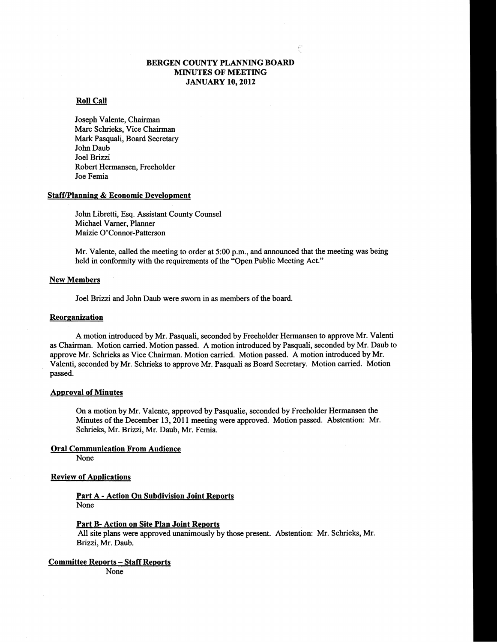### BERGEN COUNTY PLANNING BOARD MINUTES OF MEETING JANUARY 10, 2012

#### Roll Call

Joseph Valente, Chairman Marc Schrieks, Vice Chairman Mark Pasquali, Board Secretary John Daub Joel Brizzi Robert Hermansen, Freeholder Joe Femia

#### **Staff/Planning & Economic Development**

John Libretti, Esq. Assistant County Counsel Michael Varner, Planner Maizie O'Connor-Patterson

Mr. Valente, called the meeting to order at 5:00 p.m., and announced that the meeting was being held in conformity with the requirements of the "Open Public Meeting Act."

#### New Members

Joel Brizzi and John Daub were sworn in as members of the board.

#### **Reorganization**

A motion introduced by Mr. Pasquali, seconded by Freeholder Hermansen to approve Mr. Valenti as Chairman. Motion carried. Motion passed. A motion introduced by Pasquali, seconded by Mr. Daub to approve Mr. Schrieks as Vice Chairman. Motion carried. Motion passed. A motion introduced by Mr. Valenti, seconded by Mr. Schrieks to approve Mr. Pasquali as Board Secretary. Motion carried. Motion passed. .

#### Approval of Minutes

On a motion by Mr. Valente, approved by Pasqualie, seconded by Freeholder Hermansen the Minutes of the December 13, 2011 meeting were approved. Motion passed. Abstention: Mr. Schrieks, Mr. Brizzi, Mr. Daub, Mr. Femia.

#### Oral Communication From Audience

None

#### Review of Applications

#### Part A - Action On Subdivision Joint Reports None

Part B- Action on Site Plan Joint Reports

All site plans were approved unanimously by those present. Abstention: Mr. Schrieks, Mr. Brizzi, Mr. Daub.

Committee Reports - Staff Reports

None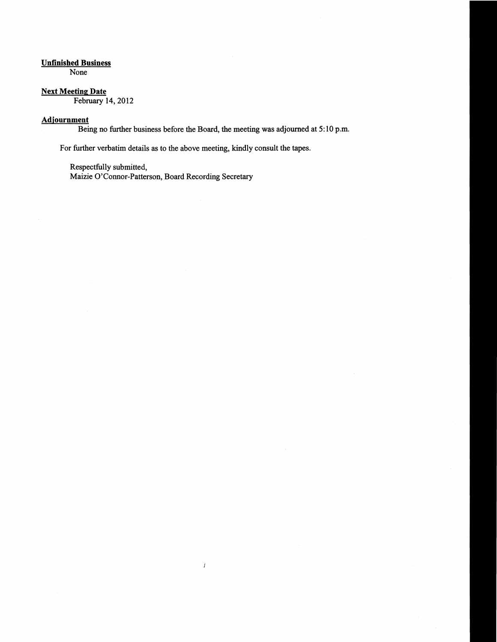# Unfinished Business

None

# **Next Meeting Date**

February 14, 2012

# **Adjournment**

Being no further business before the Board, the meeting was adjourned at 5: 10 p.m.

 $\boldsymbol{\mathit{f}}$ 

For further verbatim details as to the above meeting, kindly consult the tapes.

Respectfully submitted,

Maizie O'Connor-Patterson, Board Recording Secretary